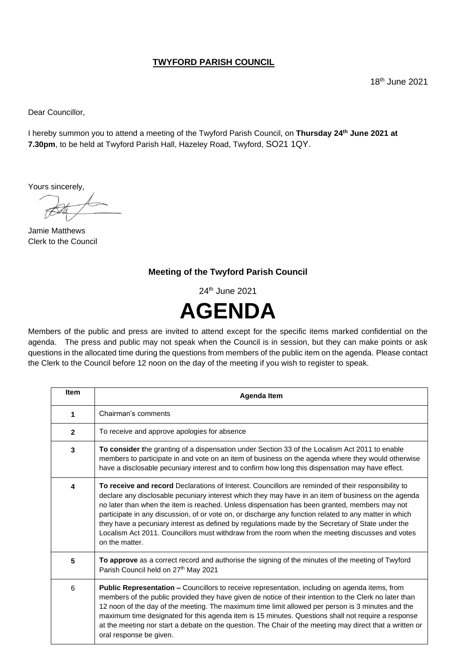## **TWYFORD PARISH COUNCIL**

Dear Councillor,

I hereby summon you to attend a meeting of the Twyford Parish Council, on **Thursday 24 th June 2021 at 7.30pm**, to be held at Twyford Parish Hall, Hazeley Road, Twyford, SO21 1QY.

Yours sincerely,

Jamie Matthews Clerk to the Council

## **Meeting of the Twyford Parish Council**

24 th June 2021



Members of the public and press are invited to attend except for the specific items marked confidential on the agenda. The press and public may not speak when the Council is in session, but they can make points or ask questions in the allocated time during the questions from members of the public item on the agenda. Please contact the Clerk to the Council before 12 noon on the day of the meeting if you wish to register to speak.

| <b>Item</b>  | Agenda Item                                                                                                                                                                                                                                                                                                                                                                                                                                                                                                                                                                                                                                     |
|--------------|-------------------------------------------------------------------------------------------------------------------------------------------------------------------------------------------------------------------------------------------------------------------------------------------------------------------------------------------------------------------------------------------------------------------------------------------------------------------------------------------------------------------------------------------------------------------------------------------------------------------------------------------------|
| 1            | Chairman's comments                                                                                                                                                                                                                                                                                                                                                                                                                                                                                                                                                                                                                             |
| $\mathbf{2}$ | To receive and approve apologies for absence                                                                                                                                                                                                                                                                                                                                                                                                                                                                                                                                                                                                    |
| 3            | To consider the granting of a dispensation under Section 33 of the Localism Act 2011 to enable<br>members to participate in and vote on an item of business on the agenda where they would otherwise<br>have a disclosable pecuniary interest and to confirm how long this dispensation may have effect.                                                                                                                                                                                                                                                                                                                                        |
| 4            | To receive and record Declarations of Interest. Councillors are reminded of their responsibility to<br>declare any disclosable pecuniary interest which they may have in an item of business on the agenda<br>no later than when the item is reached. Unless dispensation has been granted, members may not<br>participate in any discussion, of or vote on, or discharge any function related to any matter in which<br>they have a pecuniary interest as defined by regulations made by the Secretary of State under the<br>Localism Act 2011. Councillors must withdraw from the room when the meeting discusses and votes<br>on the matter. |
| 5            | To approve as a correct record and authorise the signing of the minutes of the meeting of Twyford<br>Parish Council held on 27 <sup>th</sup> May 2021                                                                                                                                                                                                                                                                                                                                                                                                                                                                                           |
| 6            | Public Representation - Councillors to receive representation, including on agenda items, from<br>members of the public provided they have given de notice of their intention to the Clerk no later than<br>12 noon of the day of the meeting. The maximum time limit allowed per person is 3 minutes and the<br>maximum time designated for this agenda item is 15 minutes. Questions shall not require a response<br>at the meeting nor start a debate on the question. The Chair of the meeting may direct that a written or<br>oral response be given.                                                                                      |